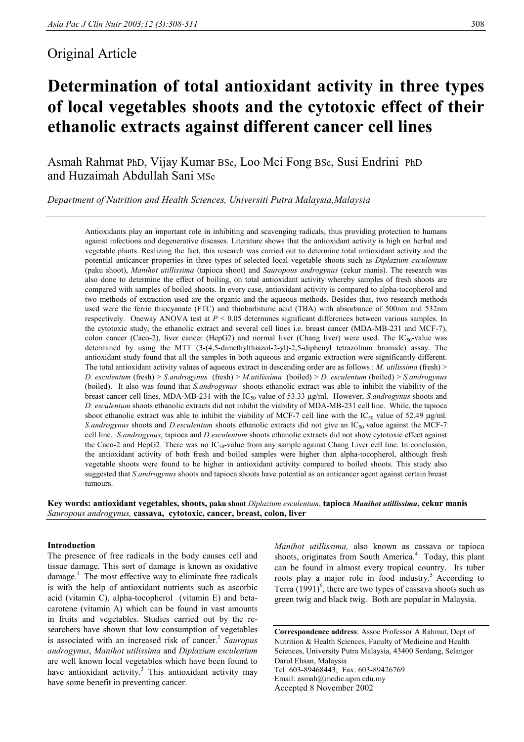## Original Article

# **Determination of total antioxidant activity in three types of local vegetables shoots and the cytotoxic effect of their ethanolic extracts against different cancer cell lines**

Asmah Rahmat PhD, Vijay Kumar BSc, Loo Mei Fong BSc, Susi Endrini PhD and Huzaimah Abdullah Sani MSc

*Department of Nutrition and Health Sciences, Universiti Putra Malaysia,Malaysia* 

Antioxidants play an important role in inhibiting and scavenging radicals, thus providing protection to humans against infections and degenerative diseases. Literature shows that the antioxidant activity is high on herbal and vegetable plants. Realizing the fact, this research was carried out to determine total antioxidant activity and the potential anticancer properties in three types of selected local vegetable shoots such as *Diplazium esculentum* (paku shoot), *Manihot utillissima* (tapioca shoot) and *Sauropous androgynus* (cekur manis). The research was also done to determine the effect of boiling, on total antioxidant activity whereby samples of fresh shoots are compared with samples of boiled shoots. In every case, antioxidant activity is compared to alpha-tocopherol and two methods of extraction used are the organic and the aqueous methods. Besides that, two research methods used were the ferric thiocyanate (FTC) and thiobarbituric acid (TBA) with absorbance of 500nm and 532nm respectively. Oneway ANOVA test at *P* < 0.05 determines significant differences between various samples. In the cytotoxic study, the ethanolic extract and several cell lines i.e. breast cancer (MDA-MB-231 and MCF-7), colon cancer (Caco-2), liver cancer (HepG2) and normal liver (Chang liver) were used. The  $IC_{50}$ -value was determined by using the MTT (3-(4,5-dimethylthiazol-2-yl)-2,5-diphenyl tetrazolium bromide) assay. The antioxidant study found that all the samples in both aqueous and organic extraction were significantly different. The total antioxidant activity values of aqueous extract in descending order are as follows : *M. utilissima* (fresh) > *D. esculentum* (fresh) > *S.androgynus* (fresh) > *M.utilissima* (boiled) > *D. esculentum* (boiled) > *S.androgynus* (boiled). It also was found that *S.androgynus* shoots ethanolic extract was able to inhibit the viability of the breast cancer cell lines, MDA-MB-231 with the IC<sub>50</sub> value of 53.33 µg/ml. However, *S.androgynus* shoots and *D. esculentum* shoots ethanolic extracts did not inhibit the viability of MDA-MB-231 cell line. While, the tapioca shoot ethanolic extract was able to inhibit the viability of MCF-7 cell line with the IC<sub>50</sub> value of 52.49  $\mu$ g/ml. *S.androgynus* shoots and *D.esculentum* shoots ethanolic extracts did not give an IC<sub>50</sub> value against the MCF-7 cell line. *S.androgynus*, tapioca and *D.esculentum* shoots ethanolic extracts did not show cytotoxic effect against the Caco-2 and HepG2. There was no  $IC_{50}$ -value from any sample against Chang Liver cell line. In conclusion, the antioxidant activity of both fresh and boiled samples were higher than alpha-tocopherol, although fresh vegetable shoots were found to be higher in antioxidant activity compared to boiled shoots. This study also suggested that *S.androgynus* shoots and tapioca shoots have potential as an anticancer agent against certain breast tumours.

**Key words: antioxidant vegetables, shoots, paku shoot** *Diplazium esculentum*, **tapioca** *Manihot utillissima***, cekur manis**  *Sauropous androgynus,* **cassava, cytotoxic, cancer, breast, colon, liver**

#### **Introduction**

The presence of free radicals in the body causes cell and tissue damage. This sort of damage is known as oxidative  $\mu$  damage.<sup>1</sup> The most effective way to eliminate free radicals is with the help of antioxidant nutrients such as ascorbic acid (vitamin C), alpha-tocopherol (vitamin E) and betacarotene (vitamin A) which can be found in vast amounts in fruits and vegetables. Studies carried out by the researchers have shown that low consumption of vegetables is associated with an increased risk of cancer.<sup>2</sup> *Sauropus androgynus*, *Manihot utilissima* and *Diplazium esculentum* are well known local vegetables which have been found to have antioxidant activity.<sup>3</sup> This antioxidant activity may have some benefit in preventing cancer.

*Manihot utillissima,* also known as cassava or tapioca shoots, originates from South America.<sup>4</sup> Today, this plant can be found in almost every tropical country. Its tuber roots play a major role in food industry.<sup>5</sup> According to Terra  $(1991)^6$ , there are two types of cassava shoots such as green twig and black twig. Both are popular in Malaysia.

**Correspondence address**: Assoc Professor A Rahmat, Dept of Nutrition & Health Sciences, Faculty of Medicine and Health Sciences, University Putra Malaysia, 43400 Serdang, Selangor Darul Ehsan, Malaysia Tel: 603-89468443; Fax: 603-89426769 Email: asmah@medic.upm.edu.my Accepted 8 November 2002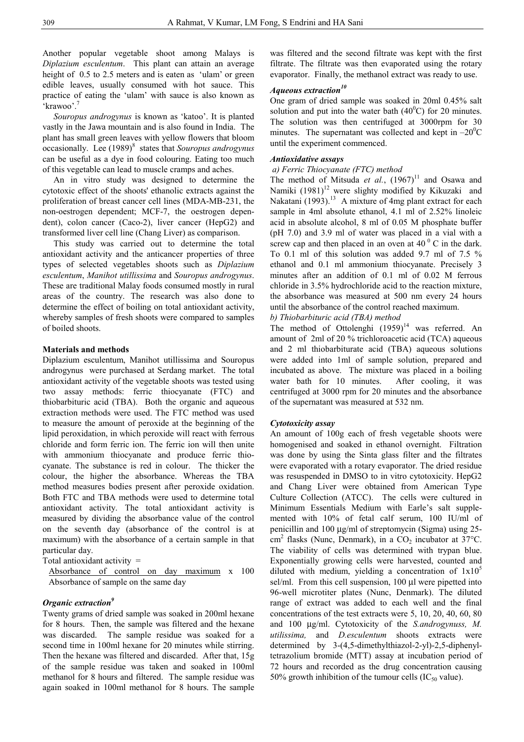Another popular vegetable shoot among Malays is *Diplazium esculentum*. This plant can attain an average height of  $0.5$  to  $2.5$  meters and is eaten as 'ulam' or green edible leaves, usually consumed with hot sauce. This practice of eating the 'ulam' with sauce is also known as 'krawoo'.<sup>7</sup>

 *Souropus androgynus* is known as 'katoo'. It is planted vastly in the Jawa mountain and is also found in India. The plant has small green leaves with yellow flowers that bloom occasionally. Lee (1989)<sup>8</sup> states that *Souropus androgynus* can be useful as a dye in food colouring. Eating too much of this vegetable can lead to muscle cramps and aches.

 An in vitro study was designed to determine the cytotoxic effect of the shoots' ethanolic extracts against the proliferation of breast cancer cell lines (MDA-MB-231, the non-oestrogen dependent; MCF-7, the oestrogen dependent), colon cancer (Caco-2), liver cancer (HepG2) and transformed liver cell line (Chang Liver) as comparison.

 This study was carried out to determine the total antioxidant activity and the anticancer properties of three types of selected vegetables shoots such as *Diplazium esculentum*, *Manihot utillissima* and *Souropus androgynus*. These are traditional Malay foods consumed mostly in rural areas of the country. The research was also done to determine the effect of boiling on total antioxidant activity, whereby samples of fresh shoots were compared to samples of boiled shoots.

#### **Materials and methods**

Diplazium esculentum, Manihot utillissima and Souropus androgynus were purchased at Serdang market. The total antioxidant activity of the vegetable shoots was tested using two assay methods: ferric thiocyanate (FTC) and thiobarbituric acid (TBA). Both the organic and aqueous extraction methods were used. The FTC method was used to measure the amount of peroxide at the beginning of the lipid peroxidation, in which peroxide will react with ferrous chloride and form ferric ion. The ferric ion will then unite with ammonium thiocyanate and produce ferric thiocyanate. The substance is red in colour. The thicker the colour, the higher the absorbance. Whereas the TBA method measures bodies present after peroxide oxidation. Both FTC and TBA methods were used to determine total antioxidant activity. The total antioxidant activity is measured by dividing the absorbance value of the control on the seventh day (absorbance of the control is at maximum) with the absorbance of a certain sample in that particular day.

Total antioxidant activity =

Absorbance of control on day maximum x 100 Absorbance of sample on the same day

#### *Organic extraction9*

Twenty grams of dried sample was soaked in 200ml hexane for 8 hours. Then, the sample was filtered and the hexane was discarded. The sample residue was soaked for a second time in 100ml hexane for 20 minutes while stirring. Then the hexane was filtered and discarded. After that, 15g of the sample residue was taken and soaked in 100ml methanol for 8 hours and filtered. The sample residue was again soaked in 100ml methanol for 8 hours. The sample was filtered and the second filtrate was kept with the first filtrate. The filtrate was then evaporated using the rotary evaporator. Finally, the methanol extract was ready to use.

### *Aqueous extraction10*

One gram of dried sample was soaked in 20ml 0.45% salt solution and put into the water bath  $(40^{\circ}$ C) for 20 minutes. The solution was then centrifuged at 3000rpm for 30 minutes. The supernatant was collected and kept in  $-20^0C$ until the experiment commenced.

#### *Antioxidative assays*

#### *a) Ferric Thiocyanate (FTC) method*

The method of Mitsuda *et al.*,  $(1967)^{11}$  and Osawa and Namiki  $(1981)^{12}$  were slighty modified by Kikuzaki and Nakatani (1993).<sup>13</sup> A mixture of 4mg plant extract for each sample in 4ml absolute ethanol, 4.1 ml of 2.52% linoleic acid in absolute alcohol, 8 ml of 0.05 M phosphate buffer (pH 7.0) and 3.9 ml of water was placed in a vial with a screw cap and then placed in an oven at  $40<sup>0</sup>$  C in the dark. To 0.1 ml of this solution was added 9.7 ml of 7.5 % ethanol and 0.1 ml ammonium thiocyanate. Precisely 3 minutes after an addition of 0.1 ml of 0.02 M ferrous chloride in 3.5% hydrochloride acid to the reaction mixture, the absorbance was measured at 500 nm every 24 hours until the absorbance of the control reached maximum.

*b) Thiobarbituric acid (TBA) method* 

The method of Ottolenghi  $(1959)^{14}$  was referred. An amount of 2ml of 20 % trichloroacetic acid (TCA) aqueous and 2 ml thiobarbiturate acid (TBA) aqueous solutions were added into 1ml of sample solution, prepared and incubated as above. The mixture was placed in a boiling water bath for 10 minutes. After cooling, it was centrifuged at 3000 rpm for 20 minutes and the absorbance of the supernatant was measured at 532 nm.

#### *Cytotoxicity assay*

An amount of 100g each of fresh vegetable shoots were homogenised and soaked in ethanol overnight. Filtration was done by using the Sinta glass filter and the filtrates were evaporated with a rotary evaporator. The dried residue was resuspended in DMSO to in vitro cytotoxicity. HepG2 and Chang Liver were obtained from American Type Culture Collection (ATCC). The cells were cultured in Minimum Essentials Medium with Earle's salt supplemented with 10% of fetal calf serum, 100 IU/ml of penicillin and 100 µg/ml of streptomycin (Sigma) using 25-  $\text{cm}^2$  flasks (Nunc, Denmark), in a CO<sub>2</sub> incubator at 37°C. The viability of cells was determined with trypan blue. Exponentially growing cells were harvested, counted and diluted with medium, yielding a concentration of  $1x10<sup>5</sup>$ sel/ml. From this cell suspension, 100 µl were pipetted into 96-well microtiter plates (Nunc, Denmark). The diluted range of extract was added to each well and the final concentrations of the test extracts were 5, 10, 20, 40, 60, 80 and 100 µg/ml. Cytotoxicity of the *S.androgynuss, M. utilissima,* and *D.esculentum* shoots extracts were determined by 3-(4,5-dimethylthiazol-2-yl)-2,5-diphenyltetrazolium bromide (MTT) assay at incubation period of 72 hours and recorded as the drug concentration causing 50% growth inhibition of the tumour cells  $(IC_{50}$  value).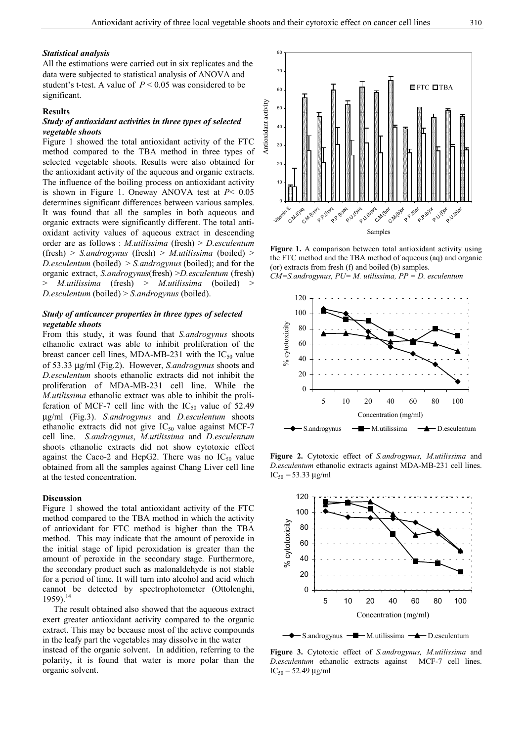#### *Statistical analysis*

All the estimations were carried out in six replicates and the data were subjected to statistical analysis of ANOVA and student's t-test. A value of *P* < 0.05 was considered to be significant.

#### **Results**

#### *Study of antioxidant activities in three types of selected vegetable shoots*

Figure 1 showed the total antioxidant activity of the FTC method compared to the TBA method in three types of selected vegetable shoots. Results were also obtained for the antioxidant activity of the aqueous and organic extracts. The influence of the boiling process on antioxidant activity is shown in Figure 1. Oneway ANOVA test at *P*< 0.05 determines significant differences between various samples. It was found that all the samples in both aqueous and organic extracts were significantly different. The total antioxidant activity values of aqueous extract in descending order are as follows : *M.utilissima* (fresh) > *D.esculentum* (fresh) > *S.androgynus* (fresh) > *M.utilissima* (boiled) > *D.esculentum* (boiled) > *S.androgynus* (boiled); and for the organic extract, *S.androgynus*(fresh) >*D.esculentum* (fresh) > *M.utilissima* (fresh) > *M.utilissima* (boiled) > *D.esculentum* (boiled) > *S.androgynus* (boiled).

#### *Study of anticancer properties in three types of selected vegetable shoots*

From this study, it was found that *S.androgynus* shoots ethanolic extract was able to inhibit proliferation of the breast cancer cell lines, MDA-MB-231 with the  $IC_{50}$  value of 53.33 µg/ml (Fig.2). However, *S.androgynus* shoots and *D.esculentum* shoots ethanolic extracts did not inhibit the proliferation of MDA-MB-231 cell line. While the *M.utilissima* ethanolic extract was able to inhibit the proliferation of MCF-7 cell line with the  $IC_{50}$  value of 52.49 µg/ml (Fig.3). *S.androgynus* and *D.esculentum* shoots ethanolic extracts did not give  $IC_{50}$  value against MCF-7 cell line. *S.androgynus*, *M.utilissima* and *D.esculentum* shoots ethanolic extracts did not show cytotoxic effect against the Caco-2 and HepG2. There was no  $IC_{50}$  value obtained from all the samples against Chang Liver cell line at the tested concentration.

#### **Discussion**

Figure 1 showed the total antioxidant activity of the FTC method compared to the TBA method in which the activity of antioxidant for FTC method is higher than the TBA method. This may indicate that the amount of peroxide in the initial stage of lipid peroxidation is greater than the amount of peroxide in the secondary stage. Furthermore, the secondary product such as malonaldehyde is not stable for a period of time. It will turn into alcohol and acid which cannot be detected by spectrophotometer (Ottolenghi,  $1959$ <sup>14</sup>

 The result obtained also showed that the aqueous extract exert greater antioxidant activity compared to the organic extract. This may be because most of the active compounds in the leafy part the vegetables may dissolve in the water instead of the organic solvent. In addition, referring to the polarity, it is found that water is more polar than the organic solvent.



**Figure 1.** A comparison between total antioxidant activity using the FTC method and the TBA method of aqueous (aq) and organic (or) extracts from fresh (f) and boiled (b) samples. *CM=S.androgynus, PU= M. utilissima, PP = D. esculentum*



**Figure 2.** Cytotoxic effect of *S.androgynus, M.utilissima* and *D.esculentum* ethanolic extracts against MDA-MB-231 cell lines.  $IC_{50} = 53.33 \mu g/ml$ 



 $-S$ .androgynus  $-\blacksquare$ M.utilissima  $-\blacktriangle$  D.esculentum

**Figure 3.** Cytotoxic effect of *S.androgynus, M.utilissima* and *D.esculentum* ethanolic extracts against MCF-7 cell lines.  $IC_{50} = 52.49 \mu g/ml$